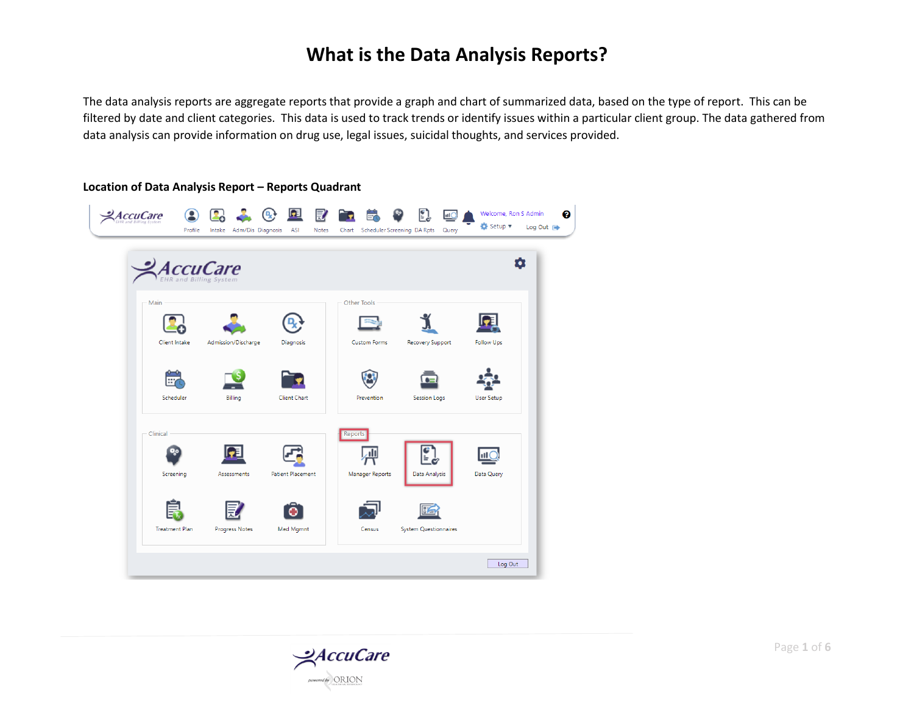The data analysis reports are aggregate reports that provide a graph and chart of summarized data, based on the type of report. This can be filtered by date and client categories. This data is used to track trends or identify issues within a particular client group. The data gathered from data analysis can provide information on drug use, legal issues, suicidal thoughts, and services provided.

#### **Location of Data Analysis Report – Reports Quadrant**

|               | <b>AccuCare</b>     |                          |                     |                         |                   |
|---------------|---------------------|--------------------------|---------------------|-------------------------|-------------------|
| Main          |                     |                          | Other Tools         |                         |                   |
| Client Intake | Admission/Discharge | Diagnosis                | <b>Custom Forms</b> | <b>Recovery Support</b> | <b>Follow Ups</b> |
|               |                     |                          |                     |                         |                   |
| Scheduler     | Billing             | <b>Client Chart</b>      | Prevention          | <b>Session Logs</b>     | User Setup        |
|               |                     |                          |                     |                         |                   |
| Clinical      |                     |                          | Reports             |                         |                   |
| Screening     | Assessments         | <b>Patient Placement</b> | Manager Reports     | Data Analysis           | Data Query        |
|               |                     |                          |                     |                         |                   |
|               |                     |                          |                     |                         |                   |

 $\frac{Q}{C}$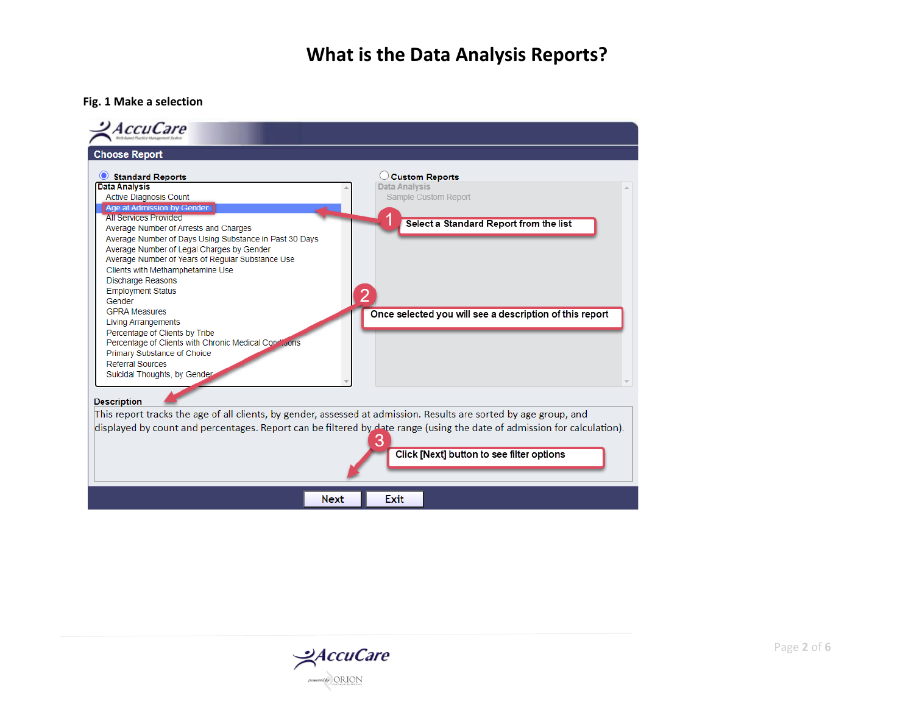#### **Fig. 1 Make a selection**



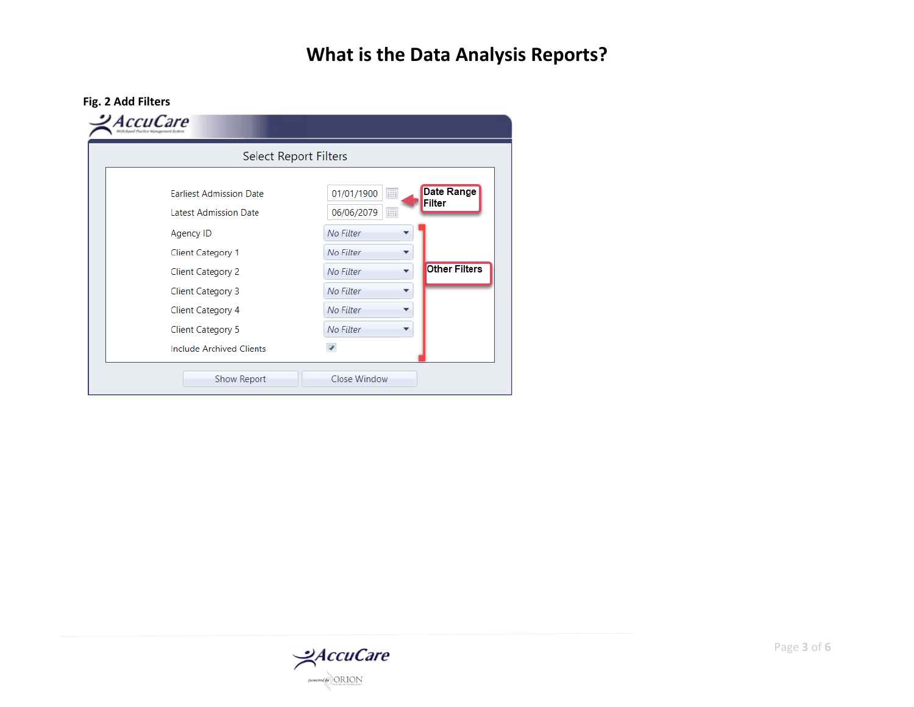

| <b>Select Report Filters</b>                            |                                                          |  |  |  |  |
|---------------------------------------------------------|----------------------------------------------------------|--|--|--|--|
| <b>Earliest Admission Date</b><br>Latest Admission Date | Date Range<br>01/01/1900<br>囲<br>Filter                  |  |  |  |  |
| Agency ID                                               | 06/06/2079<br>$\blacksquare$<br>No Filter                |  |  |  |  |
| <b>Client Category 1</b>                                | No Filter<br>▼<br><b>Other Filters</b><br>No Filter<br>▼ |  |  |  |  |
| <b>Client Category 2</b><br><b>Client Category 3</b>    | No Filter<br>▼                                           |  |  |  |  |
| Client Category 4                                       | No Filter<br>▼                                           |  |  |  |  |
| <b>Client Category 5</b>                                | No Filter                                                |  |  |  |  |
| <b>Include Archived Clients</b>                         |                                                          |  |  |  |  |

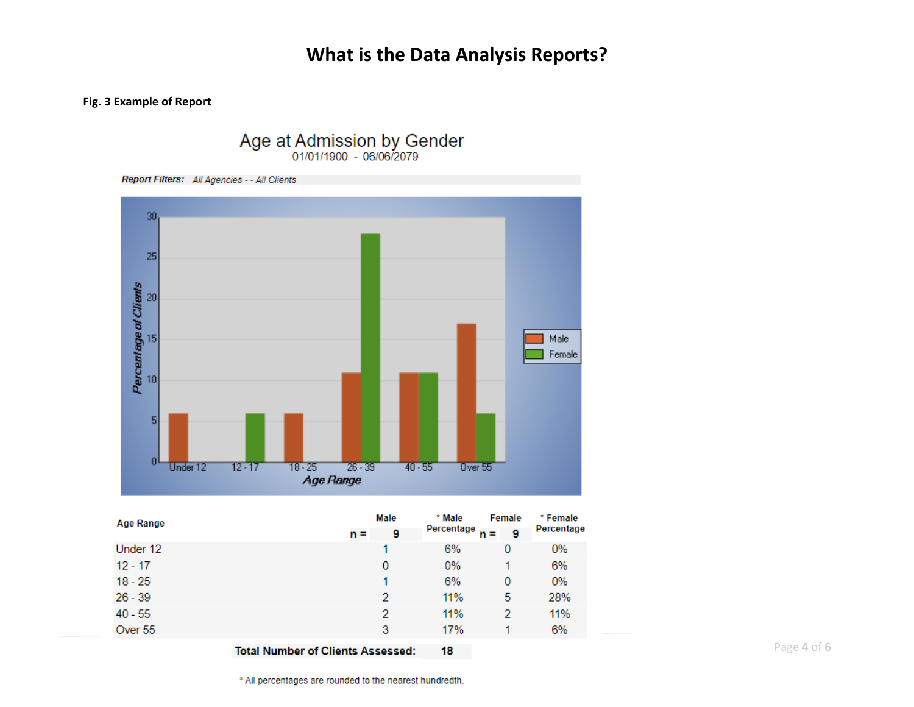#### **Fig. 3 Example of Report**

 $40 - 55$ 

Over 55



Age at Admission by Gender<br>01/01/1900 - 06/06/2079

**Total Number of Clients Assessed:** 

Page **4** of **6**

\* All percentages are rounded to the nearest hundredth.

 $\overline{2}$ 

3

 $\overline{2}$ 

 $\mathbf{1}$ 

11%

17%

18

11%

6%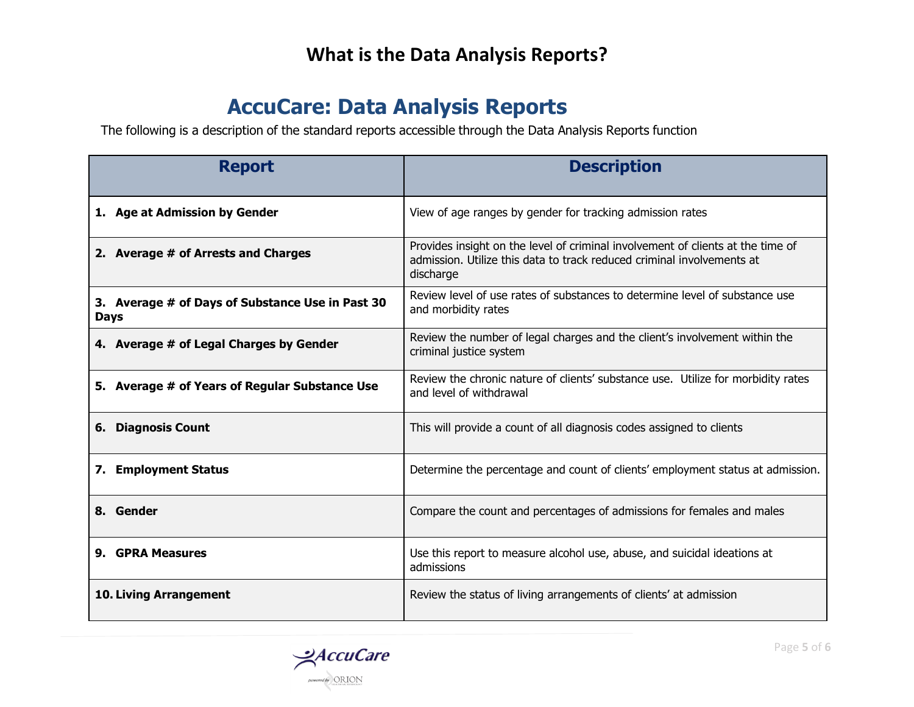# **AccuCare: Data Analysis Reports**

The following is a description of the standard reports accessible through the Data Analysis Reports function

| <b>Report</b>                                                   | <b>Description</b>                                                                                                                                                     |
|-----------------------------------------------------------------|------------------------------------------------------------------------------------------------------------------------------------------------------------------------|
| 1. Age at Admission by Gender                                   | View of age ranges by gender for tracking admission rates                                                                                                              |
| 2. Average # of Arrests and Charges                             | Provides insight on the level of criminal involvement of clients at the time of<br>admission. Utilize this data to track reduced criminal involvements at<br>discharge |
| 3. Average # of Days of Substance Use in Past 30<br><b>Days</b> | Review level of use rates of substances to determine level of substance use<br>and morbidity rates                                                                     |
| 4. Average # of Legal Charges by Gender                         | Review the number of legal charges and the client's involvement within the<br>criminal justice system                                                                  |
| 5. Average # of Years of Regular Substance Use                  | Review the chronic nature of clients' substance use. Utilize for morbidity rates<br>and level of withdrawal                                                            |
| <b>6. Diagnosis Count</b>                                       | This will provide a count of all diagnosis codes assigned to clients                                                                                                   |
| 7. Employment Status                                            | Determine the percentage and count of clients' employment status at admission.                                                                                         |
| 8. Gender                                                       | Compare the count and percentages of admissions for females and males                                                                                                  |
| 9. GPRA Measures                                                | Use this report to measure alcohol use, abuse, and suicidal ideations at<br>admissions                                                                                 |
| <b>10. Living Arrangement</b>                                   | Review the status of living arrangements of clients' at admission                                                                                                      |